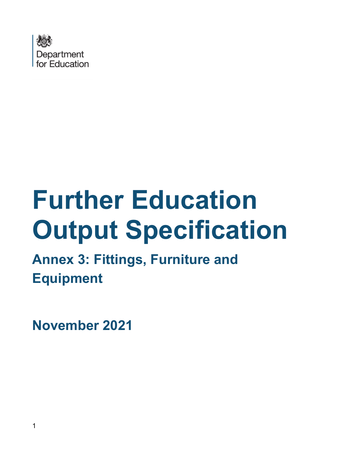

# **Further Education Output Specification**

**Annex 3: Fittings, Furniture and Equipment**

**November 2021**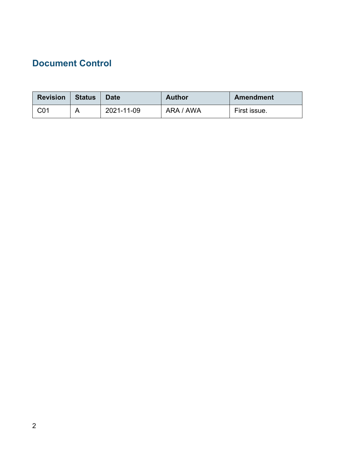### <span id="page-1-0"></span>**Document Control**

| <b>Revision</b> | <b>Status</b> | <b>Date</b> | <b>Author</b> | <b>Amendment</b> |
|-----------------|---------------|-------------|---------------|------------------|
| C01             | A             | 2021-11-09  | ARA / AWA     | First issue.     |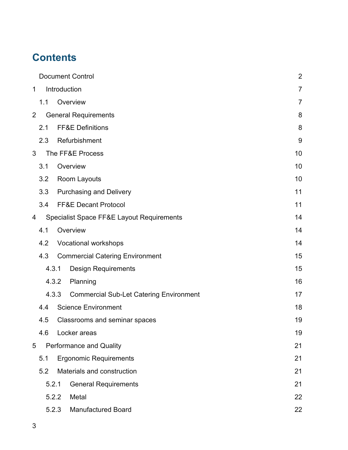## **Contents**

|                |     | <b>Document Control</b> |                                                      |                |
|----------------|-----|-------------------------|------------------------------------------------------|----------------|
| 1              |     | Introduction            |                                                      | $\overline{7}$ |
|                | 1.1 |                         | Overview                                             | $\overline{7}$ |
| $\overline{2}$ |     |                         | <b>General Requirements</b>                          | 8              |
|                | 2.1 |                         | <b>FF&amp;E Definitions</b>                          | 8              |
|                | 2.3 |                         | Refurbishment                                        | 9              |
| 3              |     |                         | The FF&E Process                                     | 10             |
|                | 3.1 |                         | Overview                                             | 10             |
|                | 3.2 |                         | Room Layouts                                         | 10             |
|                | 3.3 |                         | <b>Purchasing and Delivery</b>                       | 11             |
|                | 3.4 |                         | <b>FF&amp;E Decant Protocol</b>                      | 11             |
| 4              |     |                         | <b>Specialist Space FF&amp;E Layout Requirements</b> | 14             |
|                | 4.1 |                         | Overview                                             | 14             |
|                | 4.2 |                         | <b>Vocational workshops</b>                          | 14             |
|                | 4.3 |                         | <b>Commercial Catering Environment</b>               | 15             |
|                |     | 4.3.1                   | <b>Design Requirements</b>                           | 15             |
|                |     | 4.3.2                   | Planning                                             | 16             |
|                |     | 4.3.3                   | <b>Commercial Sub-Let Catering Environment</b>       | 17             |
|                | 4.4 |                         | <b>Science Environment</b>                           | 18             |
|                | 4.5 |                         | Classrooms and seminar spaces                        | 19             |
|                | 4.6 |                         | Locker areas                                         | 19             |
| 5              |     |                         | <b>Performance and Quality</b>                       | 21             |
|                | 5.1 |                         | <b>Ergonomic Requirements</b>                        | 21             |
|                | 5.2 |                         | Materials and construction                           | 21             |
|                |     | 5.2.1                   | <b>General Requirements</b>                          | 21             |
|                |     | 5.2.2                   | Metal                                                | 22             |
|                |     | 5.2.3                   | <b>Manufactured Board</b>                            | 22             |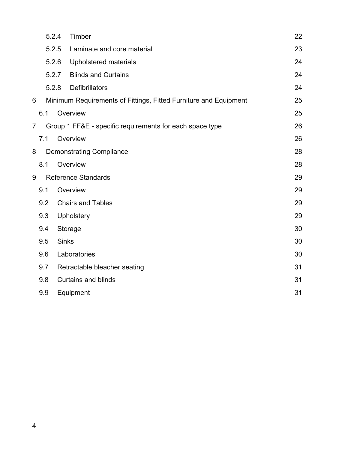|                |     | 5.2.4        | Timber                                                           | 22 |
|----------------|-----|--------------|------------------------------------------------------------------|----|
|                |     | 5.2.5        | Laminate and core material                                       | 23 |
|                |     | 5.2.6        | Upholstered materials                                            | 24 |
|                |     | 5.2.7        | <b>Blinds and Curtains</b>                                       | 24 |
|                |     | 5.2.8        | <b>Defibrillators</b>                                            | 24 |
| 6              |     |              | Minimum Requirements of Fittings, Fitted Furniture and Equipment | 25 |
|                | 6.1 |              | Overview                                                         | 25 |
| $\overline{7}$ |     |              | Group 1 FF&E - specific requirements for each space type         | 26 |
|                | 7.1 |              | Overview                                                         | 26 |
| 8              |     |              | <b>Demonstrating Compliance</b>                                  | 28 |
|                | 8.1 |              | Overview                                                         | 28 |
| 9              |     |              | <b>Reference Standards</b>                                       | 29 |
|                | 9.1 |              | Overview                                                         | 29 |
|                | 9.2 |              | <b>Chairs and Tables</b>                                         | 29 |
|                | 9.3 |              | <b>Upholstery</b>                                                | 29 |
|                | 9.4 |              | Storage                                                          | 30 |
|                | 9.5 | <b>Sinks</b> |                                                                  | 30 |
|                | 9.6 |              | Laboratories                                                     | 30 |
|                | 9.7 |              | Retractable bleacher seating                                     | 31 |
|                | 9.8 |              | <b>Curtains and blinds</b>                                       | 31 |
|                | 9.9 |              | Equipment                                                        | 31 |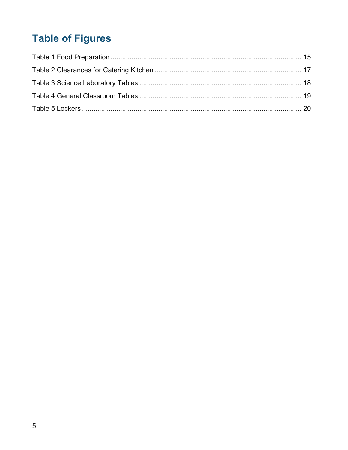## **Table of Figures**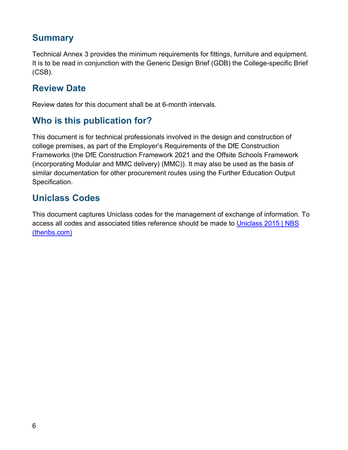### **Summary**

Technical Annex 3 provides the minimum requirements for fittings, furniture and equipment. It is to be read in conjunction with the Generic Design Brief (GDB) the College-specific Brief (CSB).

### **Review Date**

Review dates for this document shall be at 6-month intervals.

### **Who is this publication for?**

This document is for technical professionals involved in the design and construction of college premises, as part of the Employer's Requirements of the DfE Construction Frameworks (the DfE Construction Framework 2021 and the Offsite Schools Framework (incorporating Modular and MMC delivery) (MMC)). It may also be used as the basis of similar documentation for other procurement routes using the Further Education Output Specification.

### **Uniclass Codes**

This document captures Uniclass codes for the management of exchange of information. To access all codes and associated titles reference should be made to [Uniclass 2015 | NBS](https://www.thenbs.com/our-tools/uniclass-2015)  [\(thenbs.com\)](https://www.thenbs.com/our-tools/uniclass-2015)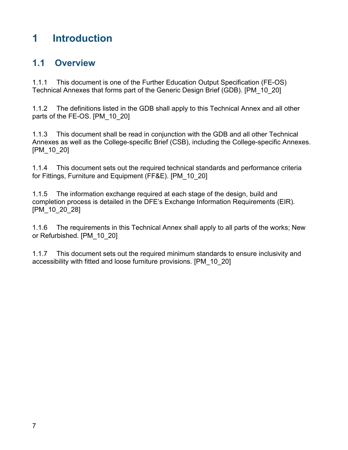### <span id="page-6-0"></span>**1 Introduction**

### <span id="page-6-1"></span>**1.1 Overview**

1.1.1 This document is one of the Further Education Output Specification (FE-OS) Technical Annexes that forms part of the Generic Design Brief (GDB). [PM\_10\_20]

1.1.2 The definitions listed in the GDB shall apply to this Technical Annex and all other parts of the FE-OS. [PM\_10\_20]

1.1.3 This document shall be read in conjunction with the GDB and all other Technical Annexes as well as the College-specific Brief (CSB), including the College-specific Annexes. [PM\_10\_20]

1.1.4 This document sets out the required technical standards and performance criteria for Fittings, Furniture and Equipment (FF&E). [PM\_10\_20]

1.1.5 The information exchange required at each stage of the design, build and completion process is detailed in the DFE's Exchange Information Requirements (EIR). [PM\_10\_20\_28]

1.1.6 The requirements in this Technical Annex shall apply to all parts of the works; New or Refurbished. [PM\_10\_20]

1.1.7 This document sets out the required minimum standards to ensure inclusivity and accessibility with fitted and loose furniture provisions. [PM\_10\_20]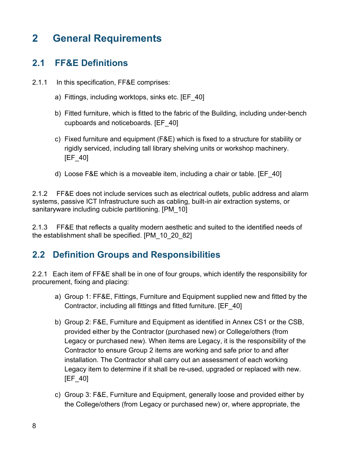### <span id="page-7-0"></span>**2 General Requirements**

### <span id="page-7-1"></span>**2.1 FF&E Definitions**

- 2.1.1 In this specification, FF&E comprises:
	- a) Fittings, including worktops, sinks etc. [EF\_40]
	- b) Fitted furniture, which is fitted to the fabric of the Building, including under-bench cupboards and noticeboards. [EF\_40]
	- c) Fixed furniture and equipment (F&E) which is fixed to a structure for stability or rigidly serviced, including tall library shelving units or workshop machinery. [EF\_40]
	- d) Loose F&E which is a moveable item, including a chair or table. [EF\_40]

2.1.2 FF&E does not include services such as electrical outlets, public address and alarm systems, passive ICT Infrastructure such as cabling, built-in air extraction systems, or sanitaryware including cubicle partitioning. [PM\_10]

2.1.3 FF&E that reflects a quality modern aesthetic and suited to the identified needs of the establishment shall be specified. [PM\_10\_20\_82]

### **2.2 Definition Groups and Responsibilities**

2.2.1 Each item of FF&E shall be in one of four groups, which identify the responsibility for procurement, fixing and placing:

- a) Group 1: FF&E, Fittings, Furniture and Equipment supplied new and fitted by the Contractor, including all fittings and fitted furniture. [EF\_40]
- b) Group 2: F&E, Furniture and Equipment as identified in Annex CS1 or the CSB, provided either by the Contractor (purchased new) or College/others (from Legacy or purchased new). When items are Legacy, it is the responsibility of the Contractor to ensure Group 2 items are working and safe prior to and after installation. The Contractor shall carry out an assessment of each working Legacy item to determine if it shall be re-used, upgraded or replaced with new. [EF\_40]
- c) Group 3: F&E, Furniture and Equipment, generally loose and provided either by the College/others (from Legacy or purchased new) or, where appropriate, the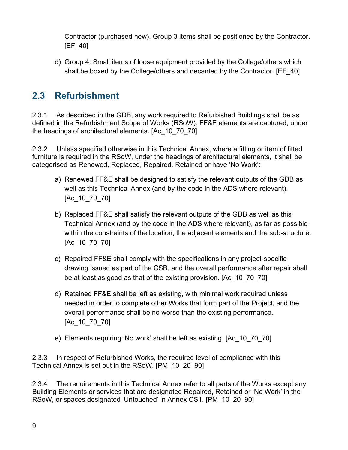Contractor (purchased new). Group 3 items shall be positioned by the Contractor. [EF\_40]

d) Group 4: Small items of loose equipment provided by the College/others which shall be boxed by the College/others and decanted by the Contractor. [EF\_40]

### <span id="page-8-0"></span>**2.3 Refurbishment**

2.3.1 As described in the GDB, any work required to Refurbished Buildings shall be as defined in the Refurbishment Scope of Works (RSoW). FF&E elements are captured, under the headings of architectural elements. [Ac\_10\_70\_70]

2.3.2 Unless specified otherwise in this Technical Annex, where a fitting or item of fitted furniture is required in the RSoW, under the headings of architectural elements, it shall be categorised as Renewed, Replaced, Repaired, Retained or have 'No Work':

- a) Renewed FF&E shall be designed to satisfy the relevant outputs of the GDB as well as this Technical Annex (and by the code in the ADS where relevant). [Ac 10 70 70]
- b) Replaced FF&E shall satisfy the relevant outputs of the GDB as well as this Technical Annex (and by the code in the ADS where relevant), as far as possible within the constraints of the location, the adjacent elements and the sub-structure. [Ac\_10\_70\_70]
- c) Repaired FF&E shall comply with the specifications in any project-specific drawing issued as part of the CSB, and the overall performance after repair shall be at least as good as that of the existing provision. [Ac\_10\_70\_70]
- d) Retained FF&E shall be left as existing, with minimal work required unless needed in order to complete other Works that form part of the Project, and the overall performance shall be no worse than the existing performance. [Ac\_10\_70\_70]
- e) Elements requiring 'No work' shall be left as existing. [Ac\_10\_70\_70]

2.3.3 In respect of Refurbished Works, the required level of compliance with this Technical Annex is set out in the RSoW. [PM\_10\_20\_90]

2.3.4 The requirements in this Technical Annex refer to all parts of the Works except any Building Elements or services that are designated Repaired, Retained or 'No Work' in the RSoW, or spaces designated 'Untouched' in Annex CS1. [PM\_10\_20\_90]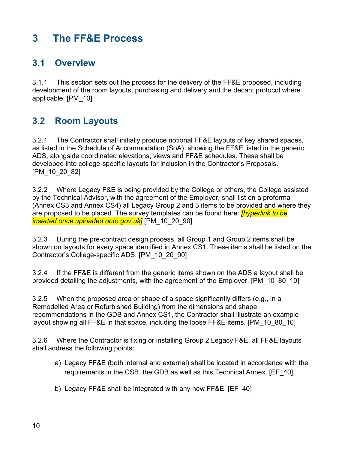### <span id="page-9-0"></span>**3 The FF&E Process**

### <span id="page-9-1"></span>**3.1 Overview**

3.1.1 This section sets out the process for the delivery of the FF&E proposed, including development of the room layouts, purchasing and delivery and the decant protocol where applicable. [PM\_10]

### <span id="page-9-2"></span>**3.2 Room Layouts**

3.2.1 The Contractor shall initially produce notional FF&E layouts of key shared spaces, as listed in the Schedule of Accommodation (SoA), showing the FF&E listed in the generic ADS, alongside coordinated elevations, views and FF&E schedules. These shall be developed into college-specific layouts for inclusion in the Contractor's Proposals. [PM\_10\_20\_82]

3.2.2 Where Legacy F&E is being provided by the College or others, the College assisted by the Technical Advisor, with the agreement of the Employer, shall list on a proforma (Annex CS3 and Annex CS4) all Legacy Group 2 and 3 items to be provided and where they are proposed to be placed. The survey templates can be found here: *[hyperlink to be inserted once uploaded onto gov.uk]* [PM\_10\_20\_90]

3.2.3 During the pre-contract design process, all Group 1 and Group 2 items shall be shown on layouts for every space identified in Annex CS1. These items shall be listed on the Contractor's College-specific ADS. [PM\_10\_20\_90]

3.2.4 If the FF&E is different from the generic items shown on the ADS a layout shall be provided detailing the adjustments, with the agreement of the Employer. [PM\_10\_80\_10]

3.2.5 When the proposed area or shape of a space significantly differs (e.g., in a Remodelled Area or Refurbished Building) from the dimensions and shape recommendations in the GDB and Annex CS1, the Contractor shall illustrate an example layout showing all FF&E in that space, including the loose FF&E items. [PM\_10\_80\_10]

3.2.6 Where the Contractor is fixing or installing Group 2 Legacy F&E, all FF&E layouts shall address the following points:

- a) Legacy FF&E (both internal and external) shall be located in accordance with the requirements in the CSB, the GDB as well as this Technical Annex. [EF\_40]
- b) Legacy FF&E shall be integrated with any new FF&E. [EF\_40]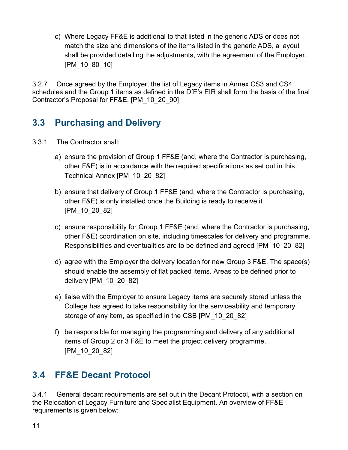c) Where Legacy FF&E is additional to that listed in the generic ADS or does not match the size and dimensions of the items listed in the generic ADS, a layout shall be provided detailing the adjustments, with the agreement of the Employer. [PM\_10\_80\_10]

3.2.7 Once agreed by the Employer, the list of Legacy items in Annex CS3 and CS4 schedules and the Group 1 items as defined in the DfE's EIR shall form the basis of the final Contractor's Proposal for FF&E. [PM\_10\_20\_90]

### <span id="page-10-0"></span>**3.3 Purchasing and Delivery**

- 3.3.1 The Contractor shall:
	- a) ensure the provision of Group 1 FF&E (and, where the Contractor is purchasing, other F&E) is in accordance with the required specifications as set out in this Technical Annex [PM\_10\_20\_82]
	- b) ensure that delivery of Group 1 FF&E (and, where the Contractor is purchasing, other F&E) is only installed once the Building is ready to receive it [PM\_10\_20\_82]
	- c) ensure responsibility for Group 1 FF&E (and, where the Contractor is purchasing, other F&E) coordination on site, including timescales for delivery and programme. Responsibilities and eventualities are to be defined and agreed [PM\_10\_20\_82]
	- d) agree with the Employer the delivery location for new Group 3 F&E. The space(s) should enable the assembly of flat packed items. Areas to be defined prior to delivery [PM\_10\_20\_82]
	- e) liaise with the Employer to ensure Legacy items are securely stored unless the College has agreed to take responsibility for the serviceability and temporary storage of any item, as specified in the CSB [PM\_10\_20\_82]
	- f) be responsible for managing the programming and delivery of any additional items of Group 2 or 3 F&E to meet the project delivery programme. [PM\_10\_20\_82]

### <span id="page-10-1"></span>**3.4 FF&E Decant Protocol**

3.4.1 General decant requirements are set out in the Decant Protocol, with a section on the Relocation of Legacy Furniture and Specialist Equipment. An overview of FF&E requirements is given below: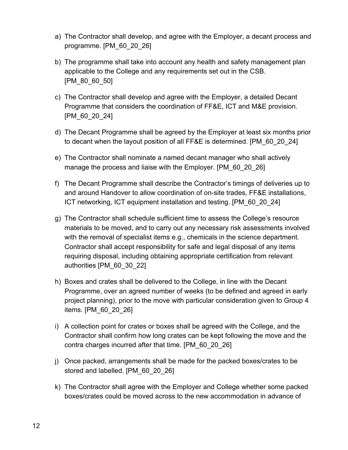- a) The Contractor shall develop, and agree with the Employer, a decant process and programme. [PM\_60\_20\_26]
- b) The programme shall take into account any health and safety management plan applicable to the College and any requirements set out in the CSB. [PM\_80\_60\_50]
- c) The Contractor shall develop and agree with the Employer, a detailed Decant Programme that considers the coordination of FF&E, ICT and M&E provision. [PM\_60\_20\_24]
- d) The Decant Programme shall be agreed by the Employer at least six months prior to decant when the layout position of all FF&E is determined. [PM\_60\_20\_24]
- e) The Contractor shall nominate a named decant manager who shall actively manage the process and liaise with the Employer. [PM 60\_20\_26]
- f) The Decant Programme shall describe the Contractor's timings of deliveries up to and around Handover to allow coordination of on-site trades, FF&E installations, ICT networking, ICT equipment installation and testing. [PM\_60\_20\_24]
- g) The Contractor shall schedule sufficient time to assess the College's resource materials to be moved, and to carry out any necessary risk assessments involved with the removal of specialist items e.g., chemicals in the science department. Contractor shall accept responsibility for safe and legal disposal of any items requiring disposal, including obtaining appropriate certification from relevant authorities [PM\_60\_30\_22]
- h) Boxes and crates shall be delivered to the College, in line with the Decant Programme, over an agreed number of weeks (to be defined and agreed in early project planning), prior to the move with particular consideration given to Group 4 items. [PM\_60\_20\_26]
- i) A collection point for crates or boxes shall be agreed with the College, and the Contractor shall confirm how long crates can be kept following the move and the contra charges incurred after that time. [PM\_60\_20\_26]
- j) Once packed, arrangements shall be made for the packed boxes/crates to be stored and labelled. [PM\_60\_20\_26]
- k) The Contractor shall agree with the Employer and College whether some packed boxes/crates could be moved across to the new accommodation in advance of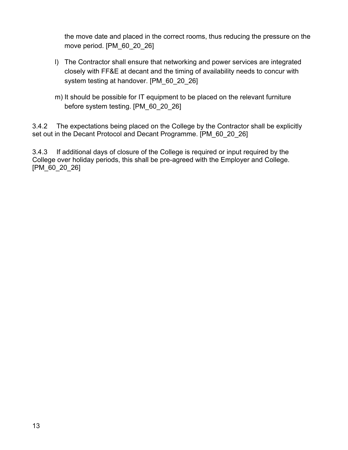the move date and placed in the correct rooms, thus reducing the pressure on the move period. [PM\_60\_20\_26]

- l) The Contractor shall ensure that networking and power services are integrated closely with FF&E at decant and the timing of availability needs to concur with system testing at handover. [PM\_60\_20\_26]
- m) It should be possible for IT equipment to be placed on the relevant furniture before system testing. [PM\_60\_20\_26]

3.4.2 The expectations being placed on the College by the Contractor shall be explicitly set out in the Decant Protocol and Decant Programme. [PM 60\_20\_26]

3.4.3 If additional days of closure of the College is required or input required by the College over holiday periods, this shall be pre-agreed with the Employer and College. [PM\_60\_20\_26]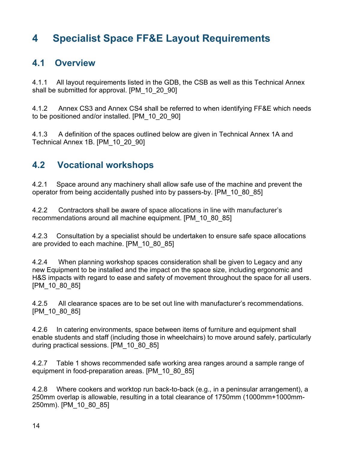### <span id="page-13-0"></span>**4 Specialist Space FF&E Layout Requirements**

#### <span id="page-13-1"></span>**4.1 Overview**

4.1.1 All layout requirements listed in the GDB, the CSB as well as this Technical Annex shall be submitted for approval. [PM\_10\_20\_90]

4.1.2 Annex CS3 and Annex CS4 shall be referred to when identifying FF&E which needs to be positioned and/or installed. [PM\_10\_20\_90]

4.1.3 A definition of the spaces outlined below are given in Technical Annex 1A and Technical Annex 1B. [PM\_10\_20\_90]

### <span id="page-13-2"></span>**4.2 Vocational workshops**

4.2.1 Space around any machinery shall allow safe use of the machine and prevent the operator from being accidentally pushed into by passers-by. [PM\_10\_80\_85]

4.2.2 Contractors shall be aware of space allocations in line with manufacturer's recommendations around all machine equipment. [PM\_10\_80\_85]

4.2.3 Consultation by a specialist should be undertaken to ensure safe space allocations are provided to each machine. [PM\_10\_80\_85]

4.2.4 When planning workshop spaces consideration shall be given to Legacy and any new Equipment to be installed and the impact on the space size, including ergonomic and H&S impacts with regard to ease and safety of movement throughout the space for all users. [PM\_10\_80\_85]

4.2.5 All clearance spaces are to be set out line with manufacturer's recommendations. [PM\_10\_80\_85]

4.2.6 In catering environments, space between items of furniture and equipment shall enable students and staff (including those in wheelchairs) to move around safely, particularly during practical sessions. [PM\_10\_80\_85]

4.2.7 Table 1 shows recommended safe working area ranges around a sample range of equipment in food-preparation areas. [PM\_10\_80\_85]

4.2.8 Where cookers and worktop run back-to-back (e.g., in a peninsular arrangement), a 250mm overlap is allowable, resulting in a total clearance of 1750mm (1000mm+1000mm-250mm). [PM\_10\_80\_85]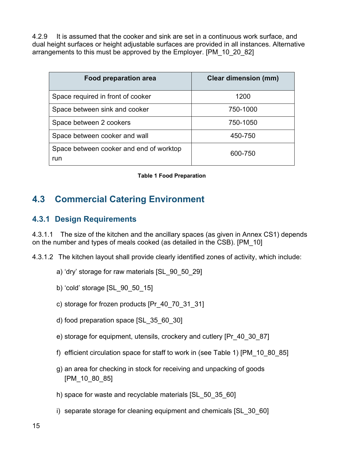4.2.9 It is assumed that the cooker and sink are set in a continuous work surface, and dual height surfaces or height adjustable surfaces are provided in all instances. Alternative arrangements to this must be approved by the Employer. [PM\_10\_20\_82]

| <b>Food preparation area</b>                   | <b>Clear dimension (mm)</b> |
|------------------------------------------------|-----------------------------|
| Space required in front of cooker              | 1200                        |
| Space between sink and cooker                  | 750-1000                    |
| Space between 2 cookers                        | 750-1050                    |
| Space between cooker and wall                  | 450-750                     |
| Space between cooker and end of worktop<br>run | 600-750                     |

**Table 1 Food Preparation**

### <span id="page-14-2"></span><span id="page-14-0"></span>**4.3 Commercial Catering Environment**

#### <span id="page-14-1"></span>**4.3.1 Design Requirements**

4.3.1.1 The size of the kitchen and the ancillary spaces (as given in Annex CS1) depends on the number and types of meals cooked (as detailed in the CSB). [PM\_10]

4.3.1.2 The kitchen layout shall provide clearly identified zones of activity, which include:

- a) 'dry' storage for raw materials [SL\_90\_50\_29]
- b) 'cold' storage [SL\_90\_50\_15]
- c) storage for frozen products [Pr\_40\_70\_31\_31]
- d) food preparation space [SL\_35\_60\_30]
- e) storage for equipment, utensils, crockery and cutlery [Pr\_40\_30\_87]
- f) efficient circulation space for staff to work in (see Table 1) [PM\_10\_80\_85]
- g) an area for checking in stock for receiving and unpacking of goods [PM\_10\_80\_85]
- h) space for waste and recyclable materials [SL\_50\_35\_60]
- i) separate storage for cleaning equipment and chemicals [SL\_30\_60]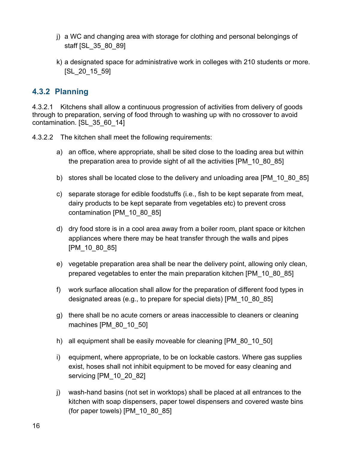- j) a WC and changing area with storage for clothing and personal belongings of staff [SL\_35\_80\_89]
- k) a designated space for administrative work in colleges with 210 students or more. [SL\_20\_15\_59]

#### <span id="page-15-0"></span>**4.3.2 Planning**

4.3.2.1 Kitchens shall allow a continuous progression of activities from delivery of goods through to preparation, serving of food through to washing up with no crossover to avoid contamination. [SL\_35\_60\_14]

4.3.2.2 The kitchen shall meet the following requirements:

- a) an office, where appropriate, shall be sited close to the loading area but within the preparation area to provide sight of all the activities [PM\_10\_80\_85]
- b) stores shall be located close to the delivery and unloading area [PM\_10\_80\_85]
- c) separate storage for edible foodstuffs (i.e., fish to be kept separate from meat, dairy products to be kept separate from vegetables etc) to prevent cross contamination [PM\_10\_80\_85]
- d) dry food store is in a cool area away from a boiler room, plant space or kitchen appliances where there may be heat transfer through the walls and pipes [PM 10\_80\_85]
- e) vegetable preparation area shall be near the delivery point, allowing only clean, prepared vegetables to enter the main preparation kitchen [PM\_10\_80\_85]
- f) work surface allocation shall allow for the preparation of different food types in designated areas (e.g., to prepare for special diets) [PM\_10\_80\_85]
- g) there shall be no acute corners or areas inaccessible to cleaners or cleaning machines [PM\_80\_10\_50]
- h) all equipment shall be easily moveable for cleaning [PM\_80\_10\_50]
- i) equipment, where appropriate, to be on lockable castors. Where gas supplies exist, hoses shall not inhibit equipment to be moved for easy cleaning and servicing [PM\_10\_20\_82]
- j) wash-hand basins (not set in worktops) shall be placed at all entrances to the kitchen with soap dispensers, paper towel dispensers and covered waste bins (for paper towels) [PM\_10\_80\_85]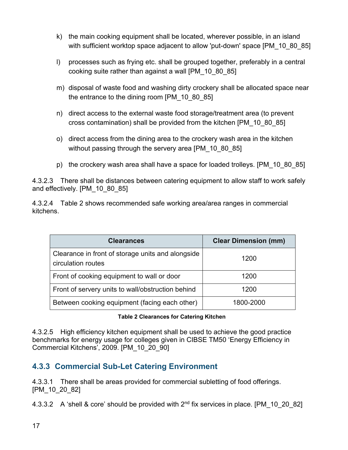- k) the main cooking equipment shall be located, wherever possible, in an island with sufficient worktop space adjacent to allow 'put-down' space [PM\_10\_80\_85]
- l) processes such as frying etc. shall be grouped together, preferably in a central cooking suite rather than against a wall [PM\_10\_80\_85]
- m) disposal of waste food and washing dirty crockery shall be allocated space near the entrance to the dining room [PM\_10\_80\_85]
- n) direct access to the external waste food storage/treatment area (to prevent cross contamination) shall be provided from the kitchen [PM\_10\_80\_85]
- o) direct access from the dining area to the crockery wash area in the kitchen without passing through the servery area [PM\_10\_80\_85]
- p) the crockery wash area shall have a space for loaded trolleys. [PM\_10\_80\_85]

4.3.2.3 There shall be distances between catering equipment to allow staff to work safely and effectively. [PM\_10\_80\_85]

4.3.2.4 Table 2 shows recommended safe working area/area ranges in commercial kitchens.

| <b>Clearances</b>                                                       | <b>Clear Dimension (mm)</b> |
|-------------------------------------------------------------------------|-----------------------------|
| Clearance in front of storage units and alongside<br>circulation routes | 1200                        |
| Front of cooking equipment to wall or door                              | 1200                        |
| Front of servery units to wall/obstruction behind                       | 1200                        |
| Between cooking equipment (facing each other)                           | 1800-2000                   |

#### **Table 2 Clearances for Catering Kitchen**

<span id="page-16-1"></span>4.3.2.5 High efficiency kitchen equipment shall be used to achieve the good practice benchmarks for energy usage for colleges given in CIBSE TM50 'Energy Efficiency in Commercial Kitchens', 2009. [PM\_10\_20\_90]

#### <span id="page-16-0"></span>**4.3.3 Commercial Sub-Let Catering Environment**

4.3.3.1 There shall be areas provided for commercial subletting of food offerings. [PM\_10\_20\_82]

4.3.3.2 A 'shell & core' should be provided with 2<sup>nd</sup> fix services in place. [PM\_10\_20\_82]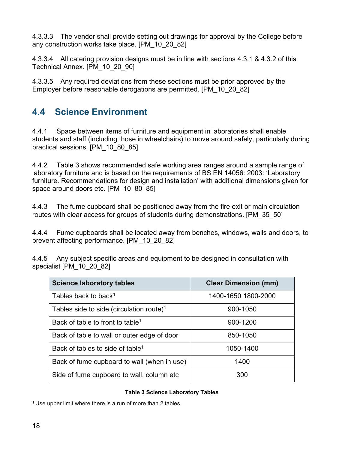4.3.3.3 The vendor shall provide setting out drawings for approval by the College before any construction works take place. [PM\_10\_20\_82]

4.3.3.4 All catering provision designs must be in line with sections 4.3.1 & 4.3.2 of this Technical Annex. [PM\_10\_20\_90]

4.3.3.5 Any required deviations from these sections must be prior approved by the Employer before reasonable derogations are permitted. [PM\_10\_20\_82]

### <span id="page-17-0"></span>**4.4 Science Environment**

4.4.1 Space between items of furniture and equipment in laboratories shall enable students and staff (including those in wheelchairs) to move around safely, particularly during practical sessions. [PM\_10\_80\_85]

4.4.2 Table 3 shows recommended safe working area ranges around a sample range of laboratory furniture and is based on the requirements of BS EN 14056: 2003: 'Laboratory furniture. Recommendations for design and installation' with additional dimensions given for space around doors etc. [PM\_10\_80\_85]

4.4.3 The fume cupboard shall be positioned away from the fire exit or main circulation routes with clear access for groups of students during demonstrations. [PM\_35\_50]

4.4.4 Fume cupboards shall be located away from benches, windows, walls and doors, to prevent affecting performance. [PM\_10\_20\_82]

4.4.5 Any subject specific areas and equipment to be designed in consultation with specialist [PM 10\_20\_82]

| <b>Science laboratory tables</b>                     | <b>Clear Dimension (mm)</b> |
|------------------------------------------------------|-----------------------------|
| Tables back to back <sup>1</sup>                     | 1400-1650 1800-2000         |
| Tables side to side (circulation route) <sup>1</sup> | 900-1050                    |
| Back of table to front to table <sup>1</sup>         | 900-1200                    |
| Back of table to wall or outer edge of door          | 850-1050                    |
| Back of tables to side of table <sup>1</sup>         | 1050-1400                   |
| Back of fume cupboard to wall (when in use)          | 1400                        |
| Side of fume cupboard to wall, column etc.           | 300                         |

#### **Table 3 Science Laboratory Tables**

<span id="page-17-1"></span> $1$  Use upper limit where there is a run of more than 2 tables.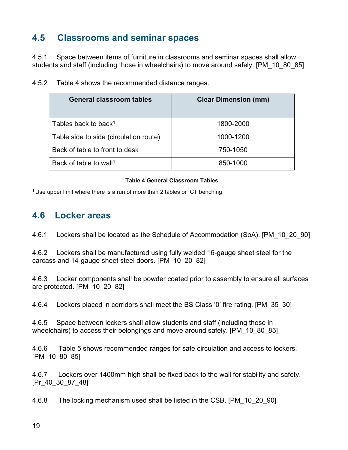### <span id="page-18-0"></span>**4.5 Classrooms and seminar spaces**

4.5.1 Space between items of furniture in classrooms and seminar spaces shall allow students and staff (including those in wheelchairs) to move around safely. [PM\_10\_80\_85]

| General classroom tables               | <b>Clear Dimension (mm)</b> |
|----------------------------------------|-----------------------------|
| Tables back to back <sup>1</sup>       | 1800-2000                   |
| Table side to side (circulation route) | 1000-1200                   |
| Back of table to front to desk         | 750-1050                    |
| Back of table to wall <sup>1</sup>     | 850-1000                    |

4.5.2 Table 4 shows the recommended distance ranges.

#### **Table 4 General Classroom Tables**

<span id="page-18-2"></span><sup>1</sup> Use upper limit where there is a run of more than 2 tables or ICT benching.

#### <span id="page-18-1"></span>**4.6 Locker areas**

4.6.1 Lockers shall be located as the Schedule of Accommodation (SoA). [PM\_10\_20\_90]

4.6.2 Lockers shall be manufactured using fully welded 16-gauge sheet steel for the carcass and 14-gauge sheet steel doors. [PM\_10\_20\_82]

4.6.3 Locker components shall be powder coated prior to assembly to ensure all surfaces are protected. [PM\_10\_20\_82]

4.6.4 Lockers placed in corridors shall meet the BS Class '0' fire rating. [PM\_35\_30]

4.6.5 Space between lockers shall allow students and staff (including those in wheelchairs) to access their belongings and move around safely. [PM\_10\_80\_85]

4.6.6 Table 5 shows recommended ranges for safe circulation and access to lockers. [PM\_10\_80\_85]

4.6.7 Lockers over 1400mm high shall be fixed back to the wall for stability and safety. [Pr\_40\_30\_87\_48]

4.6.8 The locking mechanism used shall be listed in the CSB. [PM\_10\_20\_90]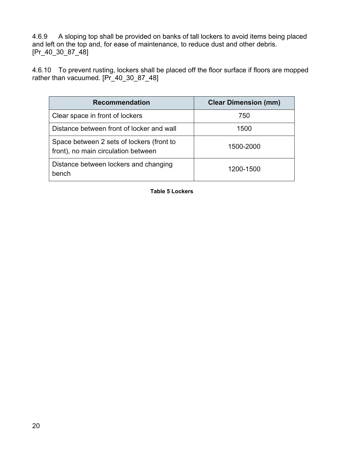4.6.9 A sloping top shall be provided on banks of tall lockers to avoid items being placed and left on the top and, for ease of maintenance, to reduce dust and other debris. [Pr\_40\_30\_87\_48]

4.6.10 To prevent rusting, lockers shall be placed off the floor surface if floors are mopped rather than vacuumed. [Pr\_40\_30\_87\_48]

<span id="page-19-0"></span>

| <b>Recommendation</b>                                                            | <b>Clear Dimension (mm)</b> |
|----------------------------------------------------------------------------------|-----------------------------|
| Clear space in front of lockers                                                  | 750                         |
| Distance between front of locker and wall                                        | 1500                        |
| Space between 2 sets of lockers (front to<br>front), no main circulation between | 1500-2000                   |
| Distance between lockers and changing<br>bench                                   | 1200-1500                   |

**Table 5 Lockers**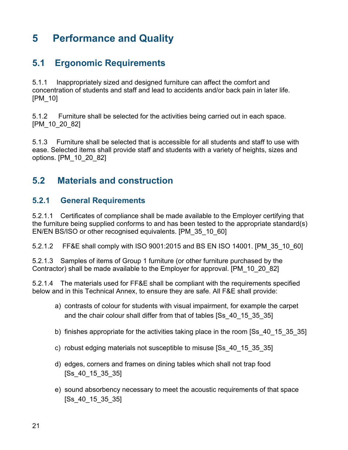### <span id="page-20-0"></span>**5 Performance and Quality**

### <span id="page-20-1"></span>**5.1 Ergonomic Requirements**

5.1.1 Inappropriately sized and designed furniture can affect the comfort and concentration of students and staff and lead to accidents and/or back pain in later life. [PM\_10]

5.1.2 Furniture shall be selected for the activities being carried out in each space. [PM\_10\_20\_82]

5.1.3 Furniture shall be selected that is accessible for all students and staff to use with ease. Selected items shall provide staff and students with a variety of heights, sizes and options. [PM\_10\_20\_82]

### <span id="page-20-2"></span>**5.2 Materials and construction**

#### <span id="page-20-3"></span>**5.2.1 General Requirements**

5.2.1.1 Certificates of compliance shall be made available to the Employer certifying that the furniture being supplied conforms to and has been tested to the appropriate standard(s) EN/EN BS/ISO or other recognised equivalents. [PM\_35\_10\_60]

5.2.1.2 FF&E shall comply with ISO 9001:2015 and BS EN ISO 14001. [PM\_35\_10\_60]

5.2.1.3 Samples of items of Group 1 furniture (or other furniture purchased by the Contractor) shall be made available to the Employer for approval. [PM\_10\_20\_82]

5.2.1.4 The materials used for FF&E shall be compliant with the requirements specified below and in this Technical Annex, to ensure they are safe. All F&E shall provide:

- a) contrasts of colour for students with visual impairment, for example the carpet and the chair colour shall differ from that of tables [Ss\_40\_15\_35\_35]
- b) finishes appropriate for the activities taking place in the room [Ss\_40\_15\_35\_35]
- c) robust edging materials not susceptible to misuse [Ss\_40\_15\_35\_35]
- d) edges, corners and frames on dining tables which shall not trap food [Ss\_40\_15\_35\_35]
- e) sound absorbency necessary to meet the acoustic requirements of that space [Ss\_40\_15\_35\_35]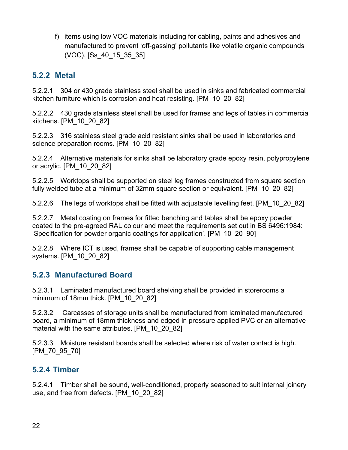f) items using low VOC materials including for cabling, paints and adhesives and manufactured to prevent 'off-gassing' pollutants like volatile organic compounds (VOC). [Ss\_40\_15\_35\_35]

#### <span id="page-21-0"></span>**5.2.2 Metal**

5.2.2.1 304 or 430 grade stainless steel shall be used in sinks and fabricated commercial kitchen furniture which is corrosion and heat resisting. [PM\_10\_20\_82]

5.2.2.2 430 grade stainless steel shall be used for frames and legs of tables in commercial kitchens. [PM\_10\_20\_82]

5.2.2.3 316 stainless steel grade acid resistant sinks shall be used in laboratories and science preparation rooms. [PM\_10\_20\_82]

5.2.2.4 Alternative materials for sinks shall be laboratory grade epoxy resin, polypropylene or acrylic. [PM\_10\_20\_82]

5.2.2.5 Worktops shall be supported on steel leg frames constructed from square section fully welded tube at a minimum of 32mm square section or equivalent. [PM\_10\_20\_82]

5.2.2.6 The legs of worktops shall be fitted with adjustable levelling feet. [PM\_10\_20\_82]

5.2.2.7 Metal coating on frames for fitted benching and tables shall be epoxy powder coated to the pre-agreed RAL colour and meet the requirements set out in BS 6496:1984: 'Specification for powder organic coatings for application'. [PM\_10\_20\_90]

5.2.2.8 Where ICT is used, frames shall be capable of supporting cable management systems. [PM\_10\_20\_82]

#### <span id="page-21-1"></span>**5.2.3 Manufactured Board**

5.2.3.1 Laminated manufactured board shelving shall be provided in storerooms a minimum of 18mm thick. [PM\_10\_20\_82]

5.2.3.2 Carcasses of storage units shall be manufactured from laminated manufactured board, a minimum of 18mm thickness and edged in pressure applied PVC or an alternative material with the same attributes. [PM\_10\_20\_82]

5.2.3.3 Moisture resistant boards shall be selected where risk of water contact is high. [PM\_70\_95\_70]

#### <span id="page-21-2"></span>**5.2.4 Timber**

5.2.4.1 Timber shall be sound, well-conditioned, properly seasoned to suit internal joinery use, and free from defects. [PM\_10\_20\_82]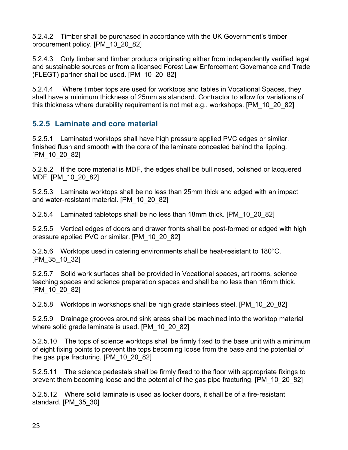5.2.4.2 Timber shall be purchased in accordance with the UK Government's timber procurement policy. [PM\_10\_20\_82]

5.2.4.3 Only timber and timber products originating either from independently verified legal and sustainable sources or from a licensed Forest Law Enforcement Governance and Trade (FLEGT) partner shall be used. [PM\_10\_20\_82]

5.2.4.4 Where timber tops are used for worktops and tables in Vocational Spaces, they shall have a minimum thickness of 25mm as standard. Contractor to allow for variations of this thickness where durability requirement is not met e.g., workshops. [PM\_10\_20\_82]

#### <span id="page-22-0"></span>**5.2.5 Laminate and core material**

5.2.5.1 Laminated worktops shall have high pressure applied PVC edges or similar, finished flush and smooth with the core of the laminate concealed behind the lipping. [PM\_10\_20\_82]

5.2.5.2 If the core material is MDF, the edges shall be bull nosed, polished or lacquered MDF. [PM\_10\_20\_82]

5.2.5.3 Laminate worktops shall be no less than 25mm thick and edged with an impact and water-resistant material. [PM\_10\_20\_82]

5.2.5.4 Laminated tabletops shall be no less than 18mm thick. [PM\_10\_20\_82]

5.2.5.5 Vertical edges of doors and drawer fronts shall be post-formed or edged with high pressure applied PVC or similar. [PM\_10\_20\_82]

5.2.5.6 Worktops used in catering environments shall be heat-resistant to 180°C. [PM\_35\_10\_32]

5.2.5.7 Solid work surfaces shall be provided in Vocational spaces, art rooms, science teaching spaces and science preparation spaces and shall be no less than 16mm thick. [PM\_10\_20\_82]

5.2.5.8 Worktops in workshops shall be high grade stainless steel. [PM\_10\_20\_82]

5.2.5.9 Drainage grooves around sink areas shall be machined into the worktop material where solid grade laminate is used. [PM\_10\_20\_82]

5.2.5.10 The tops of science worktops shall be firmly fixed to the base unit with a minimum of eight fixing points to prevent the tops becoming loose from the base and the potential of the gas pipe fracturing. [PM\_10\_20\_82]

5.2.5.11 The science pedestals shall be firmly fixed to the floor with appropriate fixings to prevent them becoming loose and the potential of the gas pipe fracturing. [PM\_10\_20\_82]

5.2.5.12 Where solid laminate is used as locker doors, it shall be of a fire-resistant standard. [PM\_35\_30]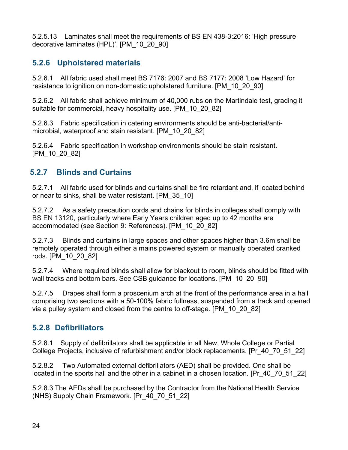5.2.5.13 Laminates shall meet the requirements of BS EN 438-3:2016: 'High pressure decorative laminates (HPL)'. [PM\_10\_20\_90]

#### <span id="page-23-0"></span>**5.2.6 Upholstered materials**

5.2.6.1 All fabric used shall meet BS 7176: 2007 and BS 7177: 2008 'Low Hazard' for resistance to ignition on non-domestic upholstered furniture. [PM\_10\_20\_90]

5.2.6.2 All fabric shall achieve minimum of 40,000 rubs on the Martindale test, grading it suitable for commercial, heavy hospitality use. [PM\_10\_20\_82]

5.2.6.3 Fabric specification in catering environments should be anti-bacterial/antimicrobial, waterproof and stain resistant. [PM\_10\_20\_82]

5.2.6.4 Fabric specification in workshop environments should be stain resistant. [PM\_10\_20\_82]

#### <span id="page-23-1"></span>**5.2.7 Blinds and Curtains**

5.2.7.1 All fabric used for blinds and curtains shall be fire retardant and, if located behind or near to sinks, shall be water resistant. [PM\_35\_10]

5.2.7.2 As a safety precaution cords and chains for blinds in colleges shall comply with BS EN 13120, particularly where Early Years children aged up to 42 months are accommodated (see Section 9: References). [PM\_10\_20\_82]

5.2.7.3 Blinds and curtains in large spaces and other spaces higher than 3.6m shall be remotely operated through either a mains powered system or manually operated cranked rods. [PM\_10\_20\_82]

5.2.7.4 Where required blinds shall allow for blackout to room, blinds should be fitted with wall tracks and bottom bars. See CSB quidance for locations. [PM\_10\_20\_90]

5.2.7.5 Drapes shall form a proscenium arch at the front of the performance area in a hall comprising two sections with a 50-100% fabric fullness, suspended from a track and opened via a pulley system and closed from the centre to off-stage. [PM\_10\_20\_82]

#### <span id="page-23-2"></span>**5.2.8 Defibrillators**

5.2.8.1 Supply of defibrillators shall be applicable in all New, Whole College or Partial College Projects, inclusive of refurbishment and/or block replacements. [Pr\_40\_70\_51\_22]

5.2.8.2 Two Automated external defibrillators (AED) shall be provided. One shall be located in the sports hall and the other in a cabinet in a chosen location. [Pr\_40\_70\_51\_22]

5.2.8.3 The AEDs shall be purchased by the Contractor from the National Health Service (NHS) Supply Chain Framework. [Pr\_40\_70\_51\_22]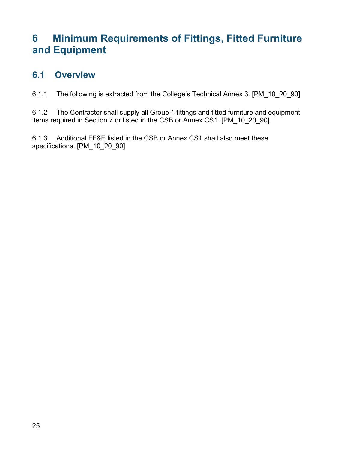### <span id="page-24-0"></span>**6 Minimum Requirements of Fittings, Fitted Furniture and Equipment**

### <span id="page-24-1"></span>**6.1 Overview**

6.1.1 The following is extracted from the College's Technical Annex 3. [PM\_10\_20\_90]

6.1.2 The Contractor shall supply all Group 1 fittings and fitted furniture and equipment items required in Section 7 or listed in the CSB or Annex CS1. [PM\_10\_20\_90]

6.1.3 Additional FF&E listed in the CSB or Annex CS1 shall also meet these specifications. [PM\_10\_20\_90]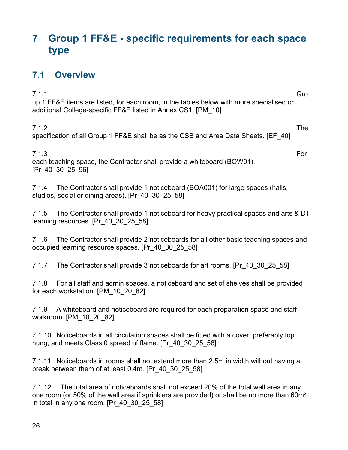### <span id="page-25-0"></span>**7 Group 1 FF&E - specific requirements for each space type**

### <span id="page-25-1"></span>**7.1 Overview**

7.1.1 Gro up 1 FF&E items are listed, for each room, in the tables below with more specialised or additional College-specific FF&E listed in Annex CS1. [PM\_10]

7.1.2 The specification of all Group 1 FF&E shall be as the CSB and Area Data Sheets. [EF\_40]

7.1.3 For each teaching space, the Contractor shall provide a whiteboard (BOW01). [Pr\_40\_30\_25\_96]

7.1.4 The Contractor shall provide 1 noticeboard (BOA001) for large spaces (halls, studios, social or dining areas). [Pr\_40\_30\_25\_58]

7.1.5 The Contractor shall provide 1 noticeboard for heavy practical spaces and arts & DT learning resources. [Pr\_40\_30\_25\_58]

7.1.6 The Contractor shall provide 2 noticeboards for all other basic teaching spaces and occupied learning resource spaces. [Pr\_40\_30\_25\_58]

7.1.7 The Contractor shall provide 3 noticeboards for art rooms. [Pr\_40\_30\_25\_58]

7.1.8 For all staff and admin spaces, a noticeboard and set of shelves shall be provided for each workstation. [PM\_10\_20\_82]

7.1.9 A whiteboard and noticeboard are required for each preparation space and staff workroom. [PM\_10\_20\_82]

7.1.10 Noticeboards in all circulation spaces shall be fitted with a cover, preferably top hung, and meets Class 0 spread of flame. [Pr\_40\_30\_25\_58]

7.1.11 Noticeboards in rooms shall not extend more than 2.5m in width without having a break between them of at least 0.4m. [Pr\_40\_30\_25\_58]

7.1.12 The total area of noticeboards shall not exceed 20% of the total wall area in any one room (or 50% of the wall area if sprinklers are provided) or shall be no more than 60m<sup>2</sup> in total in any one room. [Pr\_40\_30\_25\_58]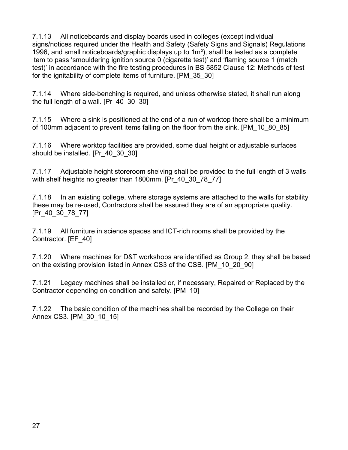7.1.13 All noticeboards and display boards used in colleges (except individual signs/notices required under the Health and Safety (Safety Signs and Signals) Regulations 1996, and small noticeboards/graphic displays up to  $1m<sup>2</sup>$ ), shall be tested as a complete item to pass 'smouldering ignition source 0 (cigarette test)' and 'flaming source 1 (match test)' in accordance with the fire testing procedures in BS 5852 Clause 12: Methods of test for the ignitability of complete items of furniture. [PM\_35\_30]

7.1.14 Where side-benching is required, and unless otherwise stated, it shall run along the full length of a wall. [Pr\_40\_30\_30]

7.1.15 Where a sink is positioned at the end of a run of worktop there shall be a minimum of 100mm adjacent to prevent items falling on the floor from the sink. [PM\_10\_80\_85]

7.1.16 Where worktop facilities are provided, some dual height or adjustable surfaces should be installed. [Pr\_40\_30\_30]

7.1.17 Adjustable height storeroom shelving shall be provided to the full length of 3 walls with shelf heights no greater than 1800mm. [Pr\_40\_30\_78\_77]

7.1.18 In an existing college, where storage systems are attached to the walls for stability these may be re-used, Contractors shall be assured they are of an appropriate quality. [Pr\_40\_30\_78\_77]

7.1.19 All furniture in science spaces and ICT-rich rooms shall be provided by the Contractor. [EF\_40]

7.1.20 Where machines for D&T workshops are identified as Group 2, they shall be based on the existing provision listed in Annex CS3 of the CSB. [PM\_10\_20\_90]

7.1.21 Legacy machines shall be installed or, if necessary, Repaired or Replaced by the Contractor depending on condition and safety. [PM\_10]

7.1.22 The basic condition of the machines shall be recorded by the College on their Annex CS3. [PM\_30\_10\_15]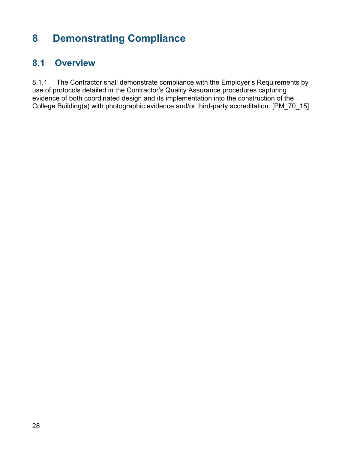### <span id="page-27-0"></span>**8 Demonstrating Compliance**

### <span id="page-27-1"></span>**8.1 Overview**

8.1.1 The Contractor shall demonstrate compliance with the Employer's Requirements by use of protocols detailed in the Contractor's Quality Assurance procedures capturing evidence of both coordinated design and its implementation into the construction of the College Building(s) with photographic evidence and/or third-party accreditation. [PM\_70\_15]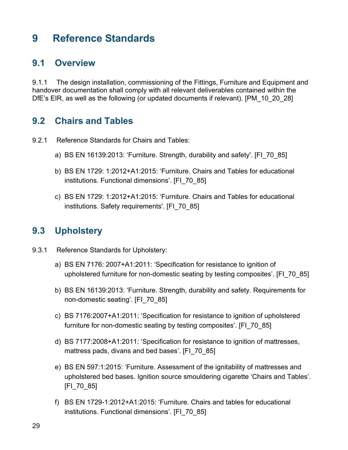### <span id="page-28-0"></span>**9 Reference Standards**

### <span id="page-28-1"></span>**9.1 Overview**

9.1.1 The design installation, commissioning of the Fittings, Furniture and Equipment and handover documentation shall comply with all relevant deliverables contained within the DfE's EIR, as well as the following (or updated documents if relevant). [PM\_10\_20\_28]

### <span id="page-28-2"></span>**9.2 Chairs and Tables**

- 9.2.1 Reference Standards for Chairs and Tables:
	- a) BS EN 16139:2013: 'Furniture. Strength, durability and safety'. [FI\_70\_85]
	- b) BS EN 1729: 1:2012+A1:2015: 'Furniture. Chairs and Tables for educational institutions. Functional dimensions'. [FI\_70\_85]
	- c) BS EN 1729: 1:2012+A1:2015: 'Furniture. Chairs and Tables for educational institutions. Safety requirements'. [FI\_70\_85]

### <span id="page-28-3"></span>**9.3 Upholstery**

- 9.3.1 Reference Standards for Upholstery:
	- a) BS EN 7176: 2007+A1:2011: 'Specification for resistance to ignition of upholstered furniture for non-domestic seating by testing composites'. [FI\_70\_85]
	- b) BS EN 16139:2013: 'Furniture. Strength, durability and safety. Requirements for non-domestic seating'. [FI\_70\_85]
	- c) BS 7176:2007+A1:2011: 'Specification for resistance to ignition of upholstered furniture for non-domestic seating by testing composites'. [FI\_70\_85]
	- d) BS 7177:2008+A1:2011: 'Specification for resistance to ignition of mattresses, mattress pads, divans and bed bases'. [FI\_70\_85]
	- e) BS EN 597:1:2015: 'Furniture. Assessment of the ignitability of mattresses and upholstered bed bases. Ignition source smouldering cigarette 'Chairs and Tables'. [FI\_70\_85]
	- f) BS EN 1729-1:2012+A1:2015: 'Furniture. Chairs and tables for educational institutions. Functional dimensions'. [FI\_70\_85]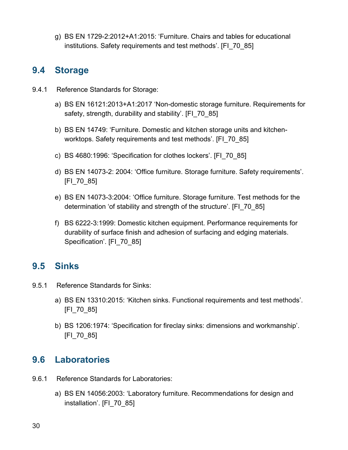g) BS EN 1729-2:2012+A1:2015: 'Furniture. Chairs and tables for educational institutions. Safety requirements and test methods'. [FI\_70\_85]

### <span id="page-29-0"></span>**9.4 Storage**

- 9.4.1 Reference Standards for Storage:
	- a) BS EN 16121:2013+A1:2017 'Non-domestic storage furniture. Requirements for safety, strength, durability and stability'. [FI\_70\_85]
	- b) BS EN 14749: 'Furniture. Domestic and kitchen storage units and kitchenworktops. Safety requirements and test methods'. [FI\_70\_85]
	- c) BS 4680:1996: 'Specification for clothes lockers'. [FI\_70\_85]
	- d) BS EN 14073-2: 2004: 'Office furniture. Storage furniture. Safety requirements'. [FI\_70\_85]
	- e) BS EN 14073-3:2004: 'Office furniture. Storage furniture. Test methods for the determination 'of stability and strength of the structure'. [FI\_70\_85]
	- f) BS 6222-3:1999: Domestic kitchen equipment. Performance requirements for durability of surface finish and adhesion of surfacing and edging materials. Specification'. [FI\_70\_85]

### <span id="page-29-1"></span>**9.5 Sinks**

- 9.5.1 Reference Standards for Sinks:
	- a) BS EN 13310:2015: 'Kitchen sinks. Functional requirements and test methods'. [FI\_70\_85]
	- b) BS 1206:1974: 'Specification for fireclay sinks: dimensions and workmanship'. [FI\_70\_85]

### <span id="page-29-2"></span>**9.6 Laboratories**

- 9.6.1 Reference Standards for Laboratories:
	- a) BS EN 14056:2003: 'Laboratory furniture. Recommendations for design and installation'. [FI\_70\_85]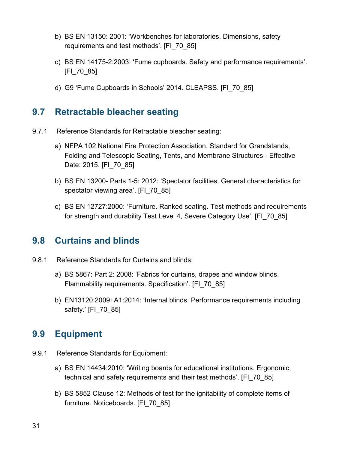- b) BS EN 13150: 2001: 'Workbenches for laboratories. Dimensions, safety requirements and test methods'. [FI\_70\_85]
- c) BS EN 14175-2:2003: 'Fume cupboards. Safety and performance requirements'. [FI\_70\_85]
- d) G9 'Fume Cupboards in Schools' 2014. CLEAPSS. [FI\_70\_85]

#### <span id="page-30-0"></span>**9.7 Retractable bleacher seating**

- 9.7.1 Reference Standards for Retractable bleacher seating:
	- a) NFPA 102 National Fire Protection Association. Standard for Grandstands, Folding and Telescopic Seating, Tents, and Membrane Structures - Effective Date: 2015. [FI\_70\_85]
	- b) BS EN 13200- Parts 1-5: 2012: 'Spectator facilities. General characteristics for spectator viewing area'. [FI\_70\_85]
	- c) BS EN 12727:2000: 'Furniture. Ranked seating. Test methods and requirements for strength and durability Test Level 4, Severe Category Use'. [FI\_70\_85]

#### <span id="page-30-1"></span>**9.8 Curtains and blinds**

- 9.8.1 Reference Standards for Curtains and blinds:
	- a) BS 5867: Part 2: 2008: 'Fabrics for curtains, drapes and window blinds. Flammability requirements. Specification'. [FI\_70\_85]
	- b) EN13120:2009+A1:2014: 'Internal blinds. Performance requirements including safety.' [FI\_70\_85]

#### <span id="page-30-2"></span>**9.9 Equipment**

- 9.9.1 Reference Standards for Equipment:
	- a) BS EN 14434:2010: 'Writing boards for educational institutions. Ergonomic, technical and safety requirements and their test methods'. [FI\_70\_85]
	- b) BS 5852 Clause 12: Methods of test for the ignitability of complete items of furniture. Noticeboards. [FI\_70\_85]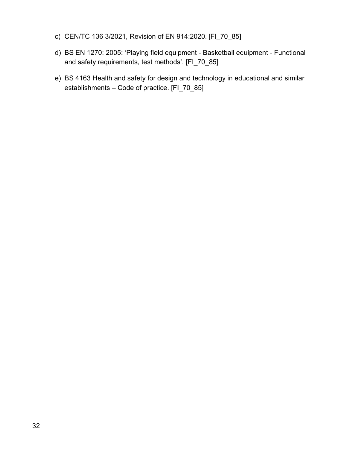- c) [CEN/TC 136 3/2021, Revision of EN 914:2020](https://standardsdevelopment.bsigroup.com/projects/9021-05054). [FI\_70\_85]
- d) BS EN 1270: 2005: 'Playing field equipment Basketball equipment Functional and safety requirements, test methods'. [FI\_70\_85]
- e) BS 4163 Health and safety for design and technology in educational and similar establishments – Code of practice. [FI\_70\_85]